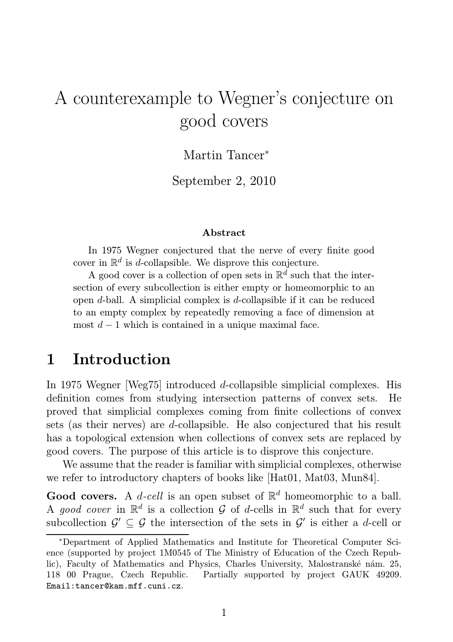# A counterexample to Wegner's conjecture on good covers

#### Martin Tancer<sup>∗</sup>

September 2, 2010

#### Abstract

In 1975 Wegner conjectured that the nerve of every finite good cover in  $\mathbb{R}^d$  is d-collapsible. We disprove this conjecture.

A good cover is a collection of open sets in  $\mathbb{R}^d$  such that the intersection of every subcollection is either empty or homeomorphic to an open d-ball. A simplicial complex is d-collapsible if it can be reduced to an empty complex by repeatedly removing a face of dimension at most  $d-1$  which is contained in a unique maximal face.

### 1 Introduction

In 1975 Wegner [Weg75] introduced d-collapsible simplicial complexes. His definition comes from studying intersection patterns of convex sets. He proved that simplicial complexes coming from finite collections of convex sets (as their nerves) are d-collapsible. He also conjectured that his result has a topological extension when collections of convex sets are replaced by good covers. The purpose of this article is to disprove this conjecture.

We assume that the reader is familiar with simplicial complexes, otherwise we refer to introductory chapters of books like [Hat01, Mat03, Mun84].

**Good covers.** A *d-cell* is an open subset of  $\mathbb{R}^d$  homeomorphic to a ball. A good cover in  $\mathbb{R}^d$  is a collection G of d-cells in  $\mathbb{R}^d$  such that for every subcollection  $\mathcal{G}' \subseteq \mathcal{G}$  the intersection of the sets in  $\mathcal{G}'$  is either a d-cell or

<sup>∗</sup>Department of Applied Mathematics and Institute for Theoretical Computer Science (supported by project 1M0545 of The Ministry of Education of the Czech Republic), Faculty of Mathematics and Physics, Charles University, Malostranské nám. 25, 118 00 Prague, Czech Republic. Partially supported by project GAUK 49209. Email:tancer@kam.mff.cuni.cz.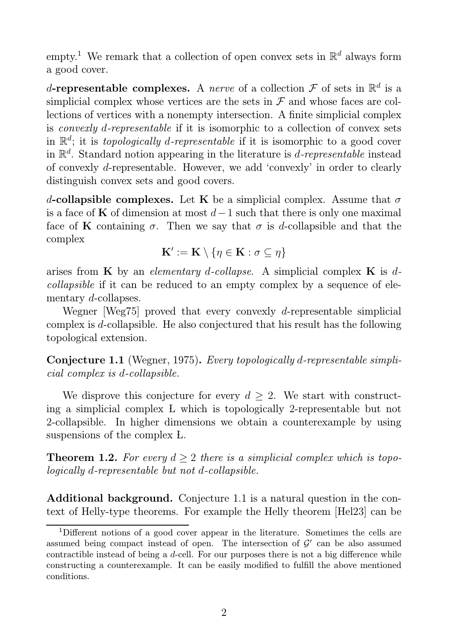empty.<sup>1</sup> We remark that a collection of open convex sets in  $\mathbb{R}^d$  always form a good cover.

d-representable complexes. A *nerve* of a collection  $\mathcal F$  of sets in  $\mathbb R^d$  is a simplicial complex whose vertices are the sets in  $\mathcal F$  and whose faces are collections of vertices with a nonempty intersection. A finite simplicial complex is convexly d-representable if it is isomorphic to a collection of convex sets in  $\mathbb{R}^d$ ; it is *topologically d-representable* if it is isomorphic to a good cover in  $\mathbb{R}^d$ . Standard notion appearing in the literature is *d-representable* instead of convexly d-representable. However, we add 'convexly' in order to clearly distinguish convex sets and good covers.

d-collapsible complexes. Let K be a simplicial complex. Assume that  $\sigma$ is a face of K of dimension at most  $d-1$  such that there is only one maximal face of K containing  $\sigma$ . Then we say that  $\sigma$  is d-collapsible and that the complex

$$
\mathbf{K}':=\mathbf{K}\setminus\{\eta\in\mathbf{K}:\sigma\subseteq\eta\}
$$

arises from K by an elementary d-collapse. A simplicial complex K is dcollapsible if it can be reduced to an empty complex by a sequence of elementary d-collapses.

Wegner [Weg75] proved that every convexly d-representable simplicial complex is d-collapsible. He also conjectured that his result has the following topological extension.

Conjecture 1.1 (Wegner, 1975). Every topologically d-representable simplicial complex is d-collapsible.

We disprove this conjecture for every  $d > 2$ . We start with constructing a simplicial complex L which is topologically 2-representable but not 2-collapsible. In higher dimensions we obtain a counterexample by using suspensions of the complex L.

**Theorem 1.2.** For every  $d > 2$  there is a simplicial complex which is topologically d-representable but not d-collapsible.

Additional background. Conjecture 1.1 is a natural question in the context of Helly-type theorems. For example the Helly theorem [Hel23] can be

<sup>1</sup>Different notions of a good cover appear in the literature. Sometimes the cells are assumed being compact instead of open. The intersection of  $\mathcal{G}'$  can be also assumed contractible instead of being a  $d$ -cell. For our purposes there is not a big difference while constructing a counterexample. It can be easily modified to fulfill the above mentioned conditions.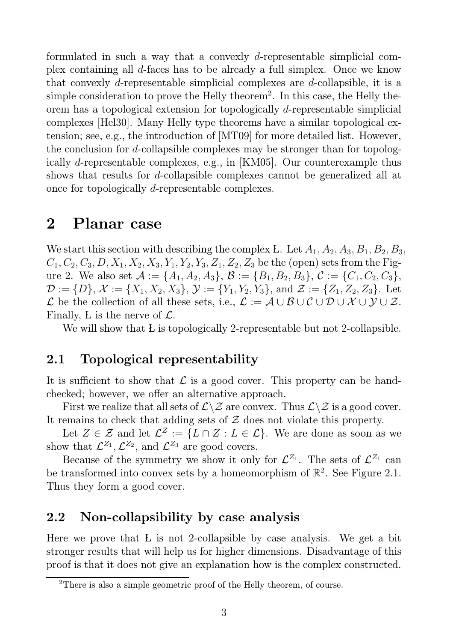formulated in such a way that a convexly d-representable simplicial complex containing all d-faces has to be already a full simplex. Once we know that convexly d-representable simplicial complexes are d-collapsible, it is a simple consideration to prove the Helly theorem<sup>2</sup>. In this case, the Helly theorem has a topological extension for topologically d-representable simplicial complexes [Hel30]. Many Helly type theorems have a similar topological extension; see, e.g., the introduction of [MT09] for more detailed list. However, the conclusion for d-collapsible complexes may be stronger than for topologically d-representable complexes, e.g., in [KM05]. Our counterexample thus shows that results for *d*-collapsible complexes cannot be generalized all at once for topologically d-representable complexes.

### 2 Planar case

We start this section with describing the complex L. Let  $A_1, A_2, A_3, B_1, B_2, B_3$ ,  $C_1, C_2, C_3, D, X_1, X_2, X_3, Y_1, Y_2, Y_3, Z_1, Z_2, Z_3$  be the (open) sets from the Figure 2. We also set  $\mathcal{A} := \{A_1, A_2, A_3\}, \mathcal{B} := \{B_1, B_2, B_3\}, \mathcal{C} := \{C_1, C_2, C_3\},\$  $\mathcal{D} := \{D\}, \mathcal{X} := \{X_1, X_2, X_3\}, \mathcal{Y} := \{Y_1, Y_2, Y_3\}, \text{ and } \mathcal{Z} := \{Z_1, Z_2, Z_3\}.$  Let L be the collection of all these sets, i.e.,  $\mathcal{L} := \mathcal{A} \cup \mathcal{B} \cup \mathcal{C} \cup \mathcal{D} \cup \mathcal{X} \cup \mathcal{Y} \cup \mathcal{Z}$ . Finally, L is the nerve of  $\mathcal{L}$ .

We will show that L is topologically 2-representable but not 2-collapsible.

#### 2.1 Topological representability

It is sufficient to show that  $\mathcal L$  is a good cover. This property can be handchecked; however, we offer an alternative approach.

First we realize that all sets of  $\mathcal{L}\setminus\mathcal{Z}$  are convex. Thus  $\mathcal{L}\setminus\mathcal{Z}$  is a good cover. It remains to check that adding sets of  $Z$  does not violate this property.

Let  $Z \in \mathcal{Z}$  and let  $\mathcal{L}^Z := \{ L \cap Z : L \in \mathcal{L} \}$ . We are done as soon as we show that  $\mathcal{L}^{Z_1}, \mathcal{L}^{Z_2}$ , and  $\mathcal{L}^{Z_3}$  are good covers.

Because of the symmetry we show it only for  $\mathcal{L}^{Z_1}$ . The sets of  $\mathcal{L}^{Z_1}$  can be transformed into convex sets by a homeomorphism of  $\mathbb{R}^2$ . See Figure 2.1. Thus they form a good cover.

### 2.2 Non-collapsibility by case analysis

Here we prove that L is not 2-collapsible by case analysis. We get a bit stronger results that will help us for higher dimensions. Disadvantage of this proof is that it does not give an explanation how is the complex constructed.

<sup>&</sup>lt;sup>2</sup>There is also a simple geometric proof of the Helly theorem, of course.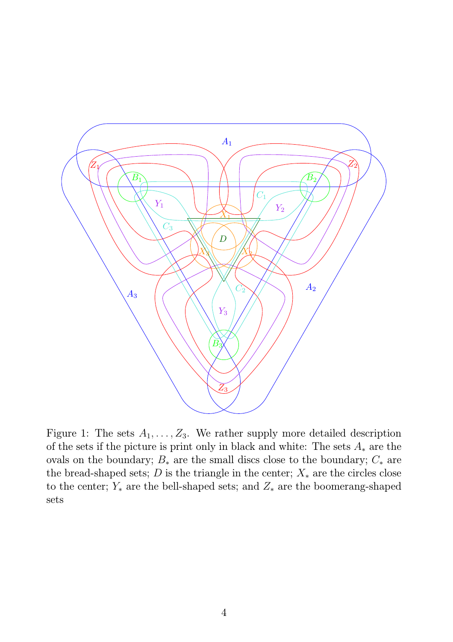

Figure 1: The sets  $A_1, \ldots, Z_3$ . We rather supply more detailed description of the sets if the picture is print only in black and white: The sets  $A_*$  are the ovals on the boundary;  $B_*$  are the small discs close to the boundary;  $C_*$  are the bread-shaped sets; D is the triangle in the center;  $X_*$  are the circles close to the center;  $Y_*$  are the bell-shaped sets; and  $Z_*$  are the boomerang-shaped sets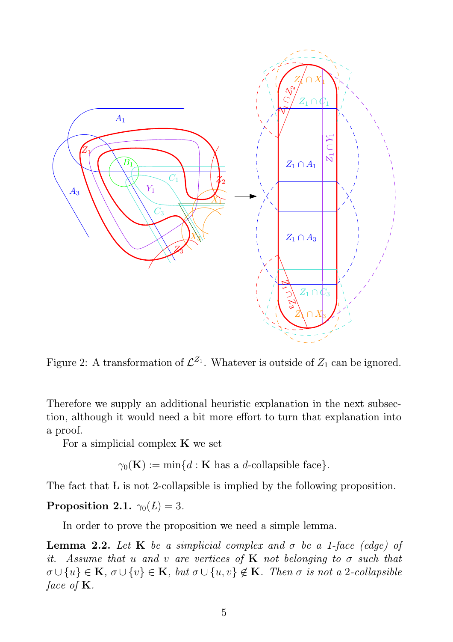

Figure 2: A transformation of  $\mathcal{L}^{Z_1}$ . Whatever is outside of  $Z_1$  can be ignored.

Therefore we supply an additional heuristic explanation in the next subsection, although it would need a bit more effort to turn that explanation into a proof.

For a simplicial complex  $\bf{K}$  we set

 $\gamma_0(\mathbf{K}) := \min\{d : \mathbf{K} \text{ has a } d\text{-collapsible face}\}.$ 

The fact that L is not 2-collapsible is implied by the following proposition.

#### Proposition 2.1.  $\gamma_0(L) = 3$ .

In order to prove the proposition we need a simple lemma.

**Lemma 2.2.** Let K be a simplicial complex and  $\sigma$  be a 1-face (edge) of it. Assume that u and v are vertices of **K** not belonging to  $\sigma$  such that  $\sigma \cup \{u\} \in \mathbf{K}, \sigma \cup \{v\} \in \mathbf{K}, \text{ but } \sigma \cup \{u, v\} \notin \mathbf{K}. \text{ Then } \sigma \text{ is not a 2-collapsible}$ face of  $\mathbf{K}$ .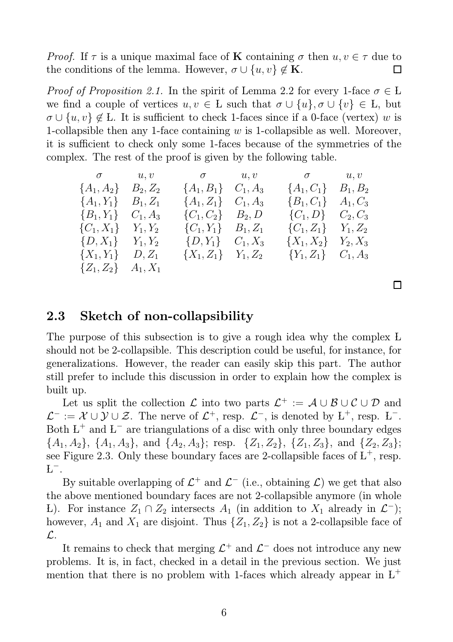*Proof.* If  $\tau$  is a unique maximal face of **K** containing  $\sigma$  then  $u, v \in \tau$  due to the conditions of the lemma. However,  $\sigma \cup \{u, v\} \notin \mathbf{K}$ .  $\Box$ 

*Proof of Proposition 2.1.* In the spirit of Lemma 2.2 for every 1-face  $\sigma \in L$ we find a couple of vertices  $u, v \in L$  such that  $\sigma \cup \{u\}, \sigma \cup \{v\} \in L$ , but  $\sigma \cup \{u, v\} \notin L$ . It is sufficient to check 1-faces since if a 0-face (vertex) w is 1-collapsible then any 1-face containing  $w$  is 1-collapsible as well. Moreover, it is sufficient to check only some 1-faces because of the symmetries of the complex. The rest of the proof is given by the following table.

| $\sigma$ $u, v$             |          | $\sigma$ and $u,v$          | $\sigma$ and $u, v$         |  |
|-----------------------------|----------|-----------------------------|-----------------------------|--|
| ${A_1, A_2}$ $B_2, Z_2$     |          | ${A_1, B_1} \quad C_1, A_3$ | ${A_1, C_1}$ $B_1, B_2$     |  |
| ${A_1, Y_1}$ $B_1, Z_1$     |          | $\{A_1, Z_1\}$ $C_1, A_3$   | ${B_1, C_1}$ $A_1, C_3$     |  |
| ${B_1, Y_1} \quad C_1, A_3$ |          | $\{C_1, C_2\}$ $B_2, D$     | $\{C_1, D\}$ $C_2, C_3$     |  |
| ${C_1, X_1} \quad Y_1, Y_2$ |          | $\{C_1, Y_1\}$ $B_1, Z_1$   | ${C_1, Z_1}$ $Y_1, Z_2$     |  |
| ${D, X_1}$ $Y_1, Y_2$       |          | $\{D, Y_1\}$ $C_1, X_3$     | ${X_1, X_2} \quad Y_2, X_3$ |  |
| $\{X_1, Y_1\}$              | $D, Z_1$ | $\{X_1, Z_1\}$ $Y_1, Z_2$   | $\{Y_1, Z_1\}$ $C_1, A_3$   |  |
| ${Z_1, Z_2}$ $A_1, X_1$     |          |                             |                             |  |

 $\Box$ 

#### 2.3 Sketch of non-collapsibility

The purpose of this subsection is to give a rough idea why the complex L should not be 2-collapsible. This description could be useful, for instance, for generalizations. However, the reader can easily skip this part. The author still prefer to include this discussion in order to explain how the complex is built up.

Let us split the collection  $\mathcal L$  into two parts  $\mathcal L^+ := \mathcal A \cup \mathcal B \cup \mathcal C \cup \mathcal D$  and  $\mathcal{L}^- := \mathcal{X} \cup \mathcal{Y} \cup \mathcal{Z}$ . The nerve of  $\mathcal{L}^+$ , resp.  $\mathcal{L}^-$ , is denoted by  $L^+$ , resp.  $L^-$ . Both  $L^+$  and  $L^-$  are triangulations of a disc with only three boundary edges  $\{A_1, A_2\}, \{A_1, A_3\}, \text{ and } \{A_2, A_3\}; \text{ resp. } \{Z_1, Z_2\}, \{Z_1, Z_3\}, \text{ and } \{Z_2, Z_3\};$ see Figure 2.3. Only these boundary faces are 2-collapsible faces of  $L^+$ , resp.  $L^{-}$ .

By suitable overlapping of  $\mathcal{L}^+$  and  $\mathcal{L}^-$  (i.e., obtaining  $\mathcal{L}$ ) we get that also the above mentioned boundary faces are not 2-collapsible anymore (in whole L). For instance  $Z_1 \cap Z_2$  intersects  $A_1$  (in addition to  $X_1$  already in  $\mathcal{L}^-$ ); however,  $A_1$  and  $X_1$  are disjoint. Thus  $\{Z_1, Z_2\}$  is not a 2-collapsible face of L.

It remains to check that merging  $\mathcal{L}^+$  and  $\mathcal{L}^-$  does not introduce any new problems. It is, in fact, checked in a detail in the previous section. We just mention that there is no problem with 1-faces which already appear in  $L^+$ 

6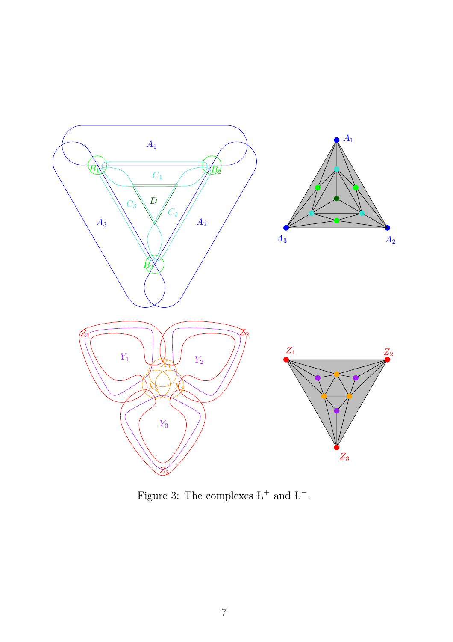

Figure 3: The complexes  $L^+$  and  $L^-$ .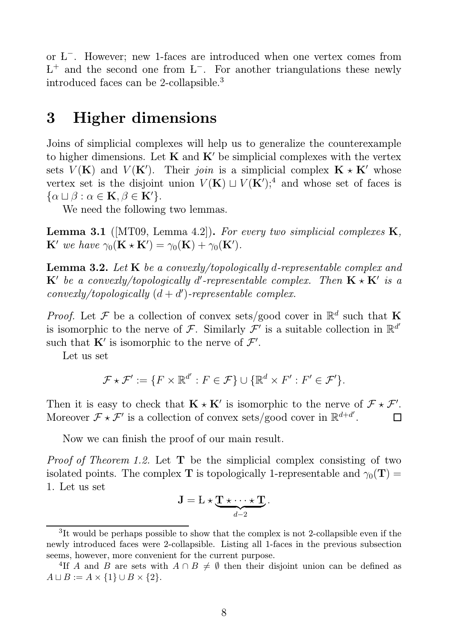or L<sup>−</sup> . However; new 1-faces are introduced when one vertex comes from  $L^+$  and the second one from  $L^-$ . For another triangulations these newly introduced faces can be 2-collapsible.<sup>3</sup>

### 3 Higher dimensions

Joins of simplicial complexes will help us to generalize the counterexample to higher dimensions. Let  $K$  and  $K'$  be simplicial complexes with the vertex sets  $V(K)$  and  $V(K')$ . Their join is a simplicial complex  $K \times K'$  whose vertex set is the disjoint union  $V(K) \sqcup V(K')$ ;<sup>4</sup> and whose set of faces is  $\{\alpha \sqcup \beta : \alpha \in \mathbf{K}, \beta \in \mathbf{K}'\}.$ 

We need the following two lemmas.

**Lemma 3.1** ( $[MT09, Lemma 4.2]$ ). For every two simplicial complexes  $K$ ,  $\mathbf{K}'$  we have  $\gamma_0(\mathbf{K} \star \mathbf{K}') = \gamma_0(\mathbf{K}) + \gamma_0(\mathbf{K}')$ .

Lemma 3.2. Let K be a convexly/topologically d-representable complex and  ${\bf K}'$  be a convexly/topologically d'-representable complex. Then  ${\bf K}\star{\bf K}'$  is a  $convexly/topologically (d + d')-representable complex.$ 

*Proof.* Let F be a collection of convex sets/good cover in  $\mathbb{R}^d$  such that K is isomorphic to the nerve of F. Similarly  $\overline{\mathcal{F}}'$  is a suitable collection in  $\mathbb{R}^{d'}$ such that  $\mathbf{K}'$  is isomorphic to the nerve of  $\mathcal{F}'$ .

Let us set

$$
\mathcal{F} \star \mathcal{F}' := \{ F \times \mathbb{R}^{d'} : F \in \mathcal{F} \} \cup \{ \mathbb{R}^d \times F' : F' \in \mathcal{F}' \}.
$$

Then it is easy to check that  $\mathbf{K} \star \mathbf{K}'$  is isomorphic to the nerve of  $\mathcal{F} \star \mathcal{F}'$ . Moreover  $\mathcal{F} \star \mathcal{F}'$  is a collection of convex sets/good cover in  $\mathbb{R}^{d+d'}$ .  $\Box$ 

Now we can finish the proof of our main result.

*Proof of Theorem 1.2.* Let  $T$  be the simplicial complex consisting of two isolated points. The complex T is topologically 1-representable and  $\gamma_0(T)$  = 1. Let us set

$$
\mathbf{J} = \mathbf{L} \star \underbrace{\mathbf{T} \star \cdots \star \mathbf{T}}_{d-2}.
$$

<sup>&</sup>lt;sup>3</sup>It would be perhaps possible to show that the complex is not 2-collapsible even if the newly introduced faces were 2-collapsible. Listing all 1-faces in the previous subsection seems, however, more convenient for the current purpose.

<sup>&</sup>lt;sup>4</sup>If A and B are sets with  $A \cap B \neq \emptyset$  then their disjoint union can be defined as  $A \sqcup B := A \times \{1\} \cup B \times \{2\}.$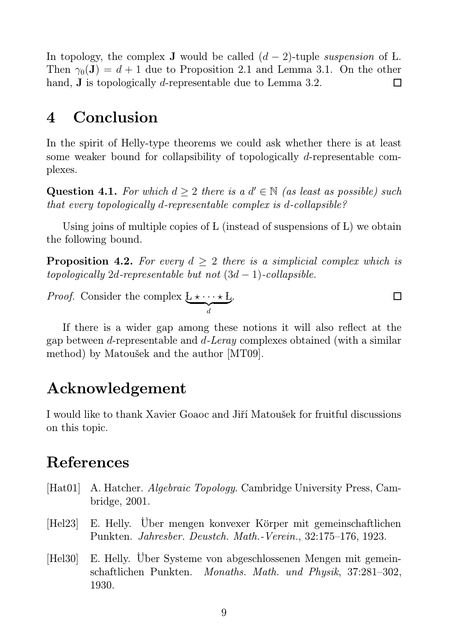In topology, the complex **J** would be called  $(d-2)$ -tuple *suspension* of L. Then  $\gamma_0(\mathbf{J}) = d + 1$  due to Proposition 2.1 and Lemma 3.1. On the other hand, **J** is topologically *d*-representable due to Lemma 3.2.  $\Box$ 

### 4 Conclusion

In the spirit of Helly-type theorems we could ask whether there is at least some weaker bound for collapsibility of topologically d-representable complexes.

Question 4.1. For which  $d \geq 2$  there is a  $d' \in \mathbb{N}$  (as least as possible) such that every topologically d-representable complex is d-collapsible?

Using joins of multiple copies of L (instead of suspensions of L) we obtain the following bound.

**Proposition 4.2.** For every  $d \geq 2$  there is a simplicial complex which is topologically 2d-representable but not  $(3d - 1)$ -collapsible.

 $\Box$ 

*Proof.* Consider the complex  $\underbrace{L \star \cdots \star L}_{d}$ .

If there is a wider gap among these notions it will also reflect at the gap between d-representable and d-Leray complexes obtained (with a similar method) by Matoušek and the author [MT09].

## Acknowledgement

I would like to thank Xavier Goaoc and Jiří Matoušek for fruitful discussions on this topic.

### References

- [Hat01] A. Hatcher. Algebraic Topology. Cambridge University Press, Cambridge, 2001.
- [Hel23] E. Helly. Über mengen konvexer Körper mit gemeinschaftlichen Punkten. Jahresber. Deustch. Math.-Verein., 32:175–176, 1923.
- [Hel30] E. Helly. Über Systeme von abgeschlossenen Mengen mit gemeinschaftlichen Punkten. Monaths. Math. und Physik, 37:281–302, 1930.